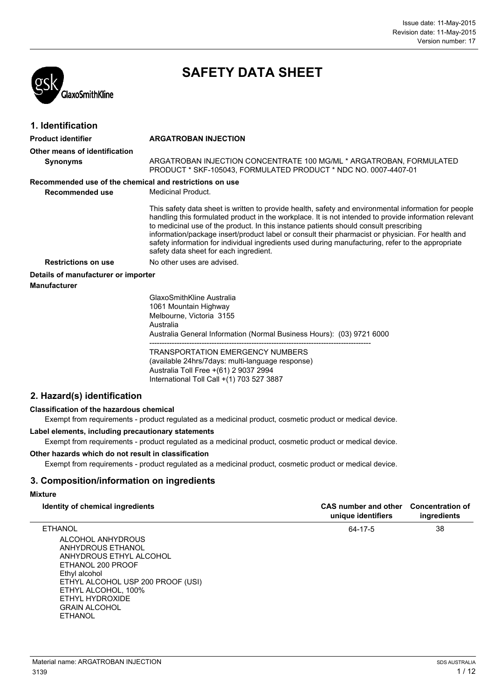

## **SAFETY DATA SHEET**

| 1. Identification                                       |                                                                                                                                                                                                                                                                                                                                                                                                                                                                                                                                                            |
|---------------------------------------------------------|------------------------------------------------------------------------------------------------------------------------------------------------------------------------------------------------------------------------------------------------------------------------------------------------------------------------------------------------------------------------------------------------------------------------------------------------------------------------------------------------------------------------------------------------------------|
| <b>Product identifier</b>                               | <b>ARGATROBAN INJECTION</b>                                                                                                                                                                                                                                                                                                                                                                                                                                                                                                                                |
| Other means of identification                           |                                                                                                                                                                                                                                                                                                                                                                                                                                                                                                                                                            |
| <b>Synonyms</b>                                         | ARGATROBAN INJECTION CONCENTRATE 100 MG/ML * ARGATROBAN, FORMULATED<br>PRODUCT * SKF-105043. FORMULATED PRODUCT * NDC NO. 0007-4407-01                                                                                                                                                                                                                                                                                                                                                                                                                     |
| Recommended use of the chemical and restrictions on use |                                                                                                                                                                                                                                                                                                                                                                                                                                                                                                                                                            |
| Recommended use                                         | Medicinal Product.                                                                                                                                                                                                                                                                                                                                                                                                                                                                                                                                         |
|                                                         | This safety data sheet is written to provide health, safety and environmental information for people<br>handling this formulated product in the workplace. It is not intended to provide information relevant<br>to medicinal use of the product. In this instance patients should consult prescribing<br>information/package insert/product label or consult their pharmacist or physician. For health and<br>safety information for individual ingredients used during manufacturing, refer to the appropriate<br>safety data sheet for each ingredient. |
| <b>Restrictions on use</b>                              | No other uses are advised.                                                                                                                                                                                                                                                                                                                                                                                                                                                                                                                                 |
| Details of manufacturer or importer                     |                                                                                                                                                                                                                                                                                                                                                                                                                                                                                                                                                            |
| <b>Manufacturer</b>                                     |                                                                                                                                                                                                                                                                                                                                                                                                                                                                                                                                                            |
|                                                         | GlaxoSmithKline Australia<br>1061 Mountain Highway<br>Melbourne, Victoria 3155<br>Australia<br>Australia General Information (Normal Business Hours): (03) 9721 6000<br><b>TRANSPORTATION EMERGENCY NUMBERS</b><br>(available 24hrs/7days: multi-language response)                                                                                                                                                                                                                                                                                        |
|                                                         | Augtralia Tall Erga $+(61)$ 2.0027.2004                                                                                                                                                                                                                                                                                                                                                                                                                                                                                                                    |

Australia Toll Free +(61) 2 9037 2994 International Toll Call +(1) 703 527 3887

### **2. Hazard(s) identification**

### **Classification of the hazardous chemical**

Exempt from requirements - product regulated as a medicinal product, cosmetic product or medical device.

### **Label elements, including precautionary statements**

Exempt from requirements - product regulated as a medicinal product, cosmetic product or medical device.

### **Other hazards which do not result in classification**

Exempt from requirements - product regulated as a medicinal product, cosmetic product or medical device.

### **3. Composition/information on ingredients**

### **Mixture**

| Identity of chemical ingredients                                                                                                                                                                                                                   | <b>CAS number and other</b><br>unique identifiers | <b>Concentration of</b><br>ingredients |
|----------------------------------------------------------------------------------------------------------------------------------------------------------------------------------------------------------------------------------------------------|---------------------------------------------------|----------------------------------------|
| <b>ETHANOL</b><br>ALCOHOL ANHYDROUS<br>ANHYDROUS ETHANOL<br>ANHYDROUS ETHYL ALCOHOL<br>ETHANOL 200 PROOF<br>Ethyl alcohol<br>ETHYL ALCOHOL USP 200 PROOF (USI)<br>ETHYL ALCOHOL, 100%<br>ETHYL HYDROXIDE<br><b>GRAIN ALCOHOL</b><br><b>ETHANOL</b> | 64-17-5                                           | 38                                     |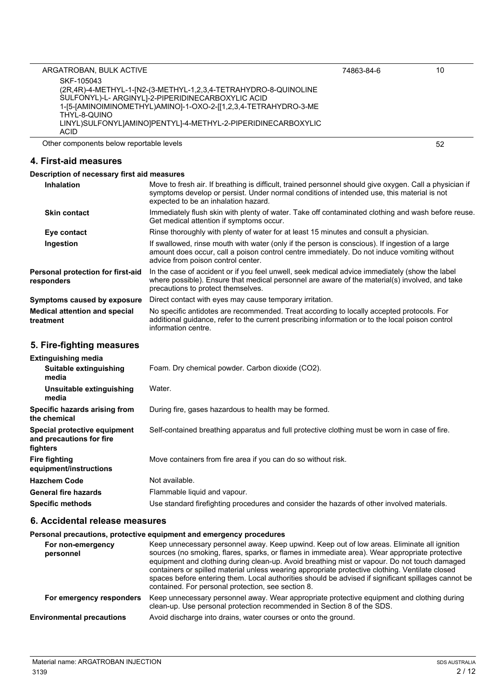| ARGATROBAN, BULK ACTIVE                                              |                                                                                                                                                                                                                                               | 74863-84-6 | 10 |
|----------------------------------------------------------------------|-----------------------------------------------------------------------------------------------------------------------------------------------------------------------------------------------------------------------------------------------|------------|----|
| SKF-105043                                                           |                                                                                                                                                                                                                                               |            |    |
|                                                                      | (2R,4R)-4-METHYL-1-[N2-(3-METHYL-1,2,3,4-TETRAHYDRO-8-QUINOLINE                                                                                                                                                                               |            |    |
|                                                                      | SULFONYL)-L- ARGINYL]-2-PIPERIDINECARBOXYLIC ACID                                                                                                                                                                                             |            |    |
|                                                                      | 1-[5-[AMINOIMINOMETHYL)AMINO]-1-OXO-2-[[1,2,3,4-TETRAHYDRO-3-ME                                                                                                                                                                               |            |    |
| THYL-8-QUINO                                                         | LINYL)SULFONYLJAMINOJPENTYLJ-4-METHYL-2-PIPERIDINECARBOXYLIC                                                                                                                                                                                  |            |    |
| <b>ACID</b>                                                          |                                                                                                                                                                                                                                               |            |    |
| Other components below reportable levels                             |                                                                                                                                                                                                                                               |            | 52 |
| 4. First-aid measures                                                |                                                                                                                                                                                                                                               |            |    |
| Description of necessary first aid measures                          |                                                                                                                                                                                                                                               |            |    |
| <b>Inhalation</b>                                                    | Move to fresh air. If breathing is difficult, trained personnel should give oxygen. Call a physician if<br>symptoms develop or persist. Under normal conditions of intended use, this material is not<br>expected to be an inhalation hazard. |            |    |
| Skin contact                                                         | Immediately flush skin with plenty of water. Take off contaminated clothing and wash before reuse.<br>Get medical attention if symptoms occur.                                                                                                |            |    |
| Eye contact                                                          | Rinse thoroughly with plenty of water for at least 15 minutes and consult a physician.                                                                                                                                                        |            |    |
| Ingestion                                                            | If swallowed, rinse mouth with water (only if the person is conscious). If ingestion of a large<br>amount does occur, call a poison control centre immediately. Do not induce vomiting without<br>advice from poison control center.          |            |    |
| Personal protection for first-aid<br>responders                      | In the case of accident or if you feel unwell, seek medical advice immediately (show the label<br>where possible). Ensure that medical personnel are aware of the material(s) involved, and take<br>precautions to protect themselves.        |            |    |
| Symptoms caused by exposure                                          | Direct contact with eyes may cause temporary irritation.                                                                                                                                                                                      |            |    |
| <b>Medical attention and special</b><br>treatment                    | No specific antidotes are recommended. Treat according to locally accepted protocols. For<br>additional guidance, refer to the current prescribing information or to the local poison control<br>information centre.                          |            |    |
| 5. Fire-fighting measures                                            |                                                                                                                                                                                                                                               |            |    |
| <b>Extinguishing media</b>                                           |                                                                                                                                                                                                                                               |            |    |
| Suitable extinguishing<br>media                                      | Foam. Dry chemical powder. Carbon dioxide (CO2).                                                                                                                                                                                              |            |    |
| Unsuitable extinguishing<br>media                                    | Water.                                                                                                                                                                                                                                        |            |    |
| Specific hazards arising from<br>the chemical                        | During fire, gases hazardous to health may be formed.                                                                                                                                                                                         |            |    |
| Special protective equipment<br>and precautions for fire<br>fighters | Self-contained breathing apparatus and full protective clothing must be worn in case of fire                                                                                                                                                  |            |    |
| <b>Fire fighting</b><br>equipment/instructions                       | Move containers from fire area if you can do so without risk.                                                                                                                                                                                 |            |    |
| <b>Hazchem Code</b>                                                  | Not available.                                                                                                                                                                                                                                |            |    |
| <b>General fire hazards</b>                                          | Flammable liquid and vapour.                                                                                                                                                                                                                  |            |    |
| <b>Specific methods</b>                                              | Use standard firefighting procedures and consider the hazards of other involved materials.                                                                                                                                                    |            |    |
| 6. Accidental release measures                                       |                                                                                                                                                                                                                                               |            |    |

### **Personal precautions, protective equipment and emergency procedures**

| For non-emergency<br>personnel   | Keep unnecessary personnel away. Keep upwind. Keep out of low areas. Eliminate all ignition<br>sources (no smoking, flares, sparks, or flames in immediate area). Wear appropriate protective<br>equipment and clothing during clean-up. Avoid breathing mist or vapour. Do not touch damaged<br>containers or spilled material unless wearing appropriate protective clothing. Ventilate closed<br>spaces before entering them. Local authorities should be advised if significant spillages cannot be<br>contained. For personal protection, see section 8. |
|----------------------------------|---------------------------------------------------------------------------------------------------------------------------------------------------------------------------------------------------------------------------------------------------------------------------------------------------------------------------------------------------------------------------------------------------------------------------------------------------------------------------------------------------------------------------------------------------------------|
| For emergency responders         | Keep unnecessary personnel away. Wear appropriate protective equipment and clothing during<br>clean-up. Use personal protection recommended in Section 8 of the SDS.                                                                                                                                                                                                                                                                                                                                                                                          |
| <b>Environmental precautions</b> | Avoid discharge into drains, water courses or onto the ground.                                                                                                                                                                                                                                                                                                                                                                                                                                                                                                |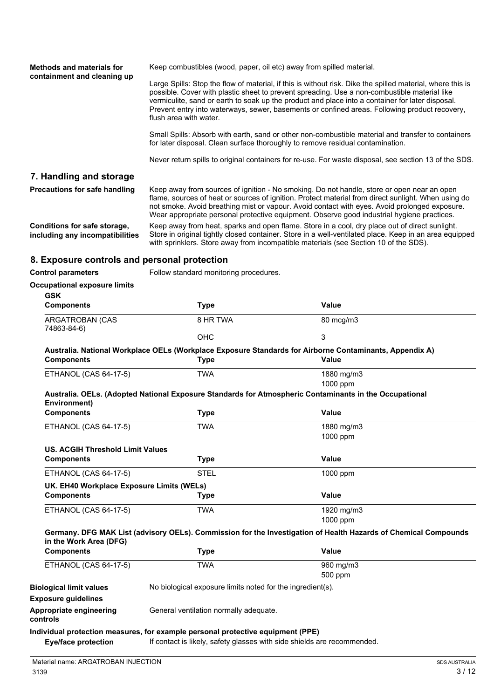| <b>Methods and materials for</b><br>containment and cleaning up | Keep combustibles (wood, paper, oil etc) away from spilled material.                                                                                                                                                                                                                                                                                                                                                                      |
|-----------------------------------------------------------------|-------------------------------------------------------------------------------------------------------------------------------------------------------------------------------------------------------------------------------------------------------------------------------------------------------------------------------------------------------------------------------------------------------------------------------------------|
|                                                                 | Large Spills: Stop the flow of material, if this is without risk. Dike the spilled material, where this is<br>possible. Cover with plastic sheet to prevent spreading. Use a non-combustible material like<br>vermiculite, sand or earth to soak up the product and place into a container for later disposal.<br>Prevent entry into waterways, sewer, basements or confined areas. Following product recovery,<br>flush area with water. |
|                                                                 | Small Spills: Absorb with earth, sand or other non-combustible material and transfer to containers<br>for later disposal. Clean surface thoroughly to remove residual contamination.                                                                                                                                                                                                                                                      |
|                                                                 | Never return spills to original containers for re-use. For waste disposal, see section 13 of the SDS.                                                                                                                                                                                                                                                                                                                                     |
| 7. Handling and storage                                         |                                                                                                                                                                                                                                                                                                                                                                                                                                           |
| Precautions for safe handling                                   | Keep away from sources of ignition - No smoking. Do not handle, store or open near an open<br>flame, sources of heat or sources of ignition. Protect material from direct sunlight. When using do<br>not smoke. Avoid breathing mist or vapour. Avoid contact with eyes. Avoid prolonged exposure.<br>Wear appropriate personal protective equipment. Observe good industrial hygiene practices.                                          |
| Conditions for safe storage,<br>including any incompatibilities | Keep away from heat, sparks and open flame. Store in a cool, dry place out of direct sunlight.<br>Store in original tightly closed container. Store in a well-ventilated place. Keep in an area equipped<br>with sprinklers. Store away from incompatible materials (see Section 10 of the SDS).                                                                                                                                          |

# **8. Exposure controls and personal protection**

| <b>Control parameters</b>                 | Follow standard monitoring procedures.                                                                  |                                                                                                                 |  |
|-------------------------------------------|---------------------------------------------------------------------------------------------------------|-----------------------------------------------------------------------------------------------------------------|--|
| <b>Occupational exposure limits</b>       |                                                                                                         |                                                                                                                 |  |
| <b>GSK</b>                                |                                                                                                         |                                                                                                                 |  |
| <b>Components</b>                         | <b>Type</b>                                                                                             | <b>Value</b>                                                                                                    |  |
| ARGATROBAN (CAS<br>74863-84-6)            | 8 HR TWA                                                                                                | 80 mcg/m3                                                                                                       |  |
|                                           | <b>OHC</b>                                                                                              | 3                                                                                                               |  |
|                                           | Australia. National Workplace OELs (Workplace Exposure Standards for Airborne Contaminants, Appendix A) |                                                                                                                 |  |
| <b>Components</b>                         | <b>Type</b>                                                                                             | Value                                                                                                           |  |
| <b>ETHANOL (CAS 64-17-5)</b>              | <b>TWA</b>                                                                                              | 1880 mg/m3<br>1000 ppm                                                                                          |  |
| Environment)                              | Australia. OELs. (Adopted National Exposure Standards for Atmospheric Contaminants in the Occupational  |                                                                                                                 |  |
| <b>Components</b>                         | <b>Type</b>                                                                                             | Value                                                                                                           |  |
| <b>ETHANOL (CAS 64-17-5)</b>              | <b>TWA</b>                                                                                              | 1880 mg/m3                                                                                                      |  |
|                                           |                                                                                                         | 1000 ppm                                                                                                        |  |
| <b>US. ACGIH Threshold Limit Values</b>   |                                                                                                         |                                                                                                                 |  |
| <b>Components</b>                         | <b>Type</b>                                                                                             | <b>Value</b>                                                                                                    |  |
| ETHANOL (CAS 64-17-5)                     | <b>STEL</b>                                                                                             | 1000 ppm                                                                                                        |  |
| UK. EH40 Workplace Exposure Limits (WELs) |                                                                                                         |                                                                                                                 |  |
| <b>Components</b>                         | <b>Type</b>                                                                                             | <b>Value</b>                                                                                                    |  |
| ETHANOL (CAS 64-17-5)                     | <b>TWA</b>                                                                                              | 1920 mg/m3                                                                                                      |  |
|                                           |                                                                                                         | 1000 ppm                                                                                                        |  |
| in the Work Area (DFG)                    |                                                                                                         | Germany. DFG MAK List (advisory OELs). Commission for the Investigation of Health Hazards of Chemical Compounds |  |
| <b>Components</b>                         | <b>Type</b>                                                                                             | <b>Value</b>                                                                                                    |  |
| ETHANOL (CAS 64-17-5)                     | <b>TWA</b>                                                                                              | 960 mg/m3                                                                                                       |  |
|                                           |                                                                                                         | 500 ppm                                                                                                         |  |
| <b>Biological limit values</b>            | No biological exposure limits noted for the ingredient(s).                                              |                                                                                                                 |  |
| <b>Exposure guidelines</b>                |                                                                                                         |                                                                                                                 |  |
| Appropriate engineering<br>controls       | General ventilation normally adequate.                                                                  |                                                                                                                 |  |
|                                           | Individual protection measures, for example personal protective equipment (PPE)                         |                                                                                                                 |  |

**Eye/face protection** If contact is likely, safety glasses with side shields are recommended.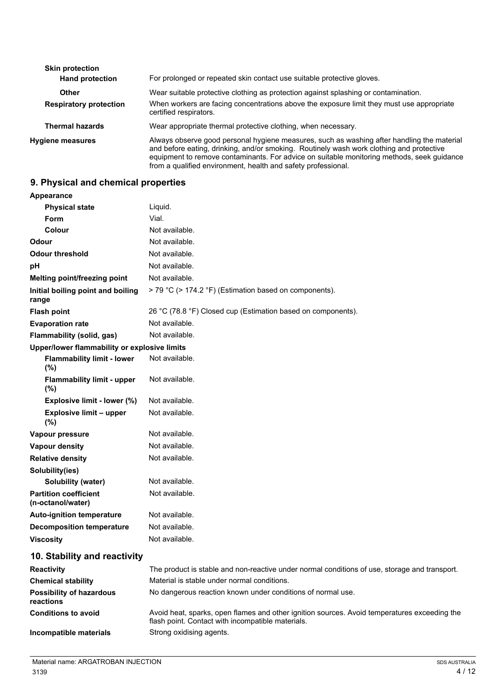| <b>Skin protection</b><br><b>Hand protection</b> | For prolonged or repeated skin contact use suitable protective gloves.                                                                                                                                                                                                                                                                                |
|--------------------------------------------------|-------------------------------------------------------------------------------------------------------------------------------------------------------------------------------------------------------------------------------------------------------------------------------------------------------------------------------------------------------|
| Other                                            | Wear suitable protective clothing as protection against splashing or contamination.                                                                                                                                                                                                                                                                   |
| <b>Respiratory protection</b>                    | When workers are facing concentrations above the exposure limit they must use appropriate<br>certified respirators.                                                                                                                                                                                                                                   |
| <b>Thermal hazards</b>                           | Wear appropriate thermal protective clothing, when necessary.                                                                                                                                                                                                                                                                                         |
| <b>Hygiene measures</b>                          | Always observe good personal hygiene measures, such as washing after handling the material<br>and before eating, drinking, and/or smoking. Routinely wash work clothing and protective<br>equipment to remove contaminants. For advice on suitable monitoring methods, seek quidance<br>from a qualified environment, health and safety professional. |

## **9. Physical and chemical properties**

| Appearance                                        |                                                                                                                                                   |
|---------------------------------------------------|---------------------------------------------------------------------------------------------------------------------------------------------------|
| <b>Physical state</b>                             | Liquid.                                                                                                                                           |
| <b>Form</b>                                       | Vial.                                                                                                                                             |
| Colour                                            | Not available.                                                                                                                                    |
| Odour                                             | Not available.                                                                                                                                    |
| <b>Odour threshold</b>                            | Not available.                                                                                                                                    |
| рH                                                | Not available.                                                                                                                                    |
| Melting point/freezing point                      | Not available.                                                                                                                                    |
| Initial boiling point and boiling<br>range        | > 79 °C (> 174.2 °F) (Estimation based on components).                                                                                            |
| <b>Flash point</b>                                | 26 °C (78.8 °F) Closed cup (Estimation based on components).                                                                                      |
| <b>Evaporation rate</b>                           | Not available.                                                                                                                                    |
| Flammability (solid, gas)                         | Not available.                                                                                                                                    |
| Upper/lower flammability or explosive limits      |                                                                                                                                                   |
| <b>Flammability limit - lower</b><br>(%)          | Not available.                                                                                                                                    |
| <b>Flammability limit - upper</b><br>$(\%)$       | Not available.                                                                                                                                    |
| Explosive limit - lower (%)                       | Not available.                                                                                                                                    |
| <b>Explosive limit - upper</b><br>(%)             | Not available.                                                                                                                                    |
| Vapour pressure                                   | Not available.                                                                                                                                    |
| <b>Vapour density</b>                             | Not available.                                                                                                                                    |
| <b>Relative density</b>                           | Not available.                                                                                                                                    |
| Solubility(ies)                                   |                                                                                                                                                   |
| Solubility (water)                                | Not available.                                                                                                                                    |
| <b>Partition coefficient</b><br>(n-octanol/water) | Not available.                                                                                                                                    |
| <b>Auto-ignition temperature</b>                  | Not available.                                                                                                                                    |
| <b>Decomposition temperature</b>                  | Not available.                                                                                                                                    |
| <b>Viscosity</b>                                  | Not available.                                                                                                                                    |
| 10. Stability and reactivity                      |                                                                                                                                                   |
| <b>Reactivity</b>                                 | The product is stable and non-reactive under normal conditions of use, storage and transport.                                                     |
| <b>Chemical stability</b>                         | Material is stable under normal conditions.                                                                                                       |
| <b>Possibility of hazardous</b><br>reactions      | No dangerous reaction known under conditions of normal use.                                                                                       |
| <b>Conditions to avoid</b>                        | Avoid heat, sparks, open flames and other ignition sources. Avoid temperatures exceeding the<br>flash point. Contact with incompatible materials. |

**Incompatible materials** Strong oxidising agents.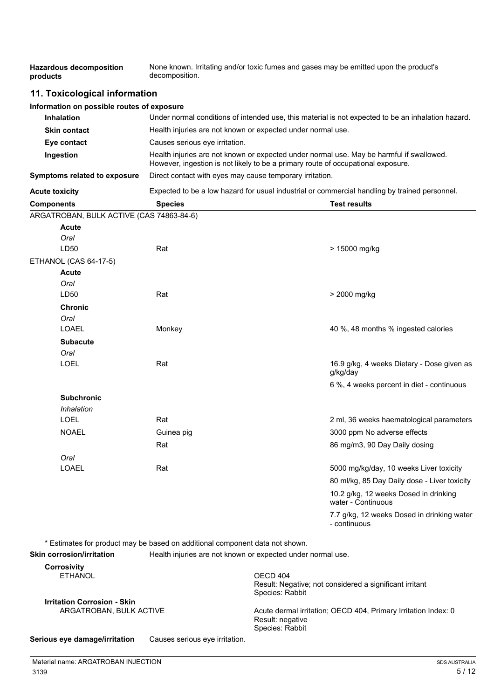| <b>Hazardous decomposition</b><br>products                                   | None known. Irritating and/or toxic fumes and gases may be emitted upon the product's<br>decomposition.                                                                      |  |                                                             |
|------------------------------------------------------------------------------|------------------------------------------------------------------------------------------------------------------------------------------------------------------------------|--|-------------------------------------------------------------|
| 11. Toxicological information                                                |                                                                                                                                                                              |  |                                                             |
| Information on possible routes of exposure                                   |                                                                                                                                                                              |  |                                                             |
| <b>Inhalation</b>                                                            | Under normal conditions of intended use, this material is not expected to be an inhalation hazard.                                                                           |  |                                                             |
| <b>Skin contact</b>                                                          | Health injuries are not known or expected under normal use.                                                                                                                  |  |                                                             |
| Eye contact                                                                  | Causes serious eye irritation.                                                                                                                                               |  |                                                             |
| Ingestion                                                                    | Health injuries are not known or expected under normal use. May be harmful if swallowed.<br>However, ingestion is not likely to be a primary route of occupational exposure. |  |                                                             |
| Symptoms related to exposure                                                 | Direct contact with eyes may cause temporary irritation.                                                                                                                     |  |                                                             |
| <b>Acute toxicity</b>                                                        | Expected to be a low hazard for usual industrial or commercial handling by trained personnel.                                                                                |  |                                                             |
| <b>Components</b>                                                            | <b>Species</b>                                                                                                                                                               |  | <b>Test results</b>                                         |
| ARGATROBAN, BULK ACTIVE (CAS 74863-84-6)                                     |                                                                                                                                                                              |  |                                                             |
| Acute                                                                        |                                                                                                                                                                              |  |                                                             |
| Oral                                                                         |                                                                                                                                                                              |  |                                                             |
| LD50                                                                         | Rat                                                                                                                                                                          |  | > 15000 mg/kg                                               |
| ETHANOL (CAS 64-17-5)                                                        |                                                                                                                                                                              |  |                                                             |
| <b>Acute</b>                                                                 |                                                                                                                                                                              |  |                                                             |
| Oral<br>LD50                                                                 | Rat                                                                                                                                                                          |  |                                                             |
|                                                                              |                                                                                                                                                                              |  | > 2000 mg/kg                                                |
| <b>Chronic</b>                                                               |                                                                                                                                                                              |  |                                                             |
| Oral<br><b>LOAEL</b>                                                         | Monkey                                                                                                                                                                       |  | 40 %, 48 months % ingested calories                         |
|                                                                              |                                                                                                                                                                              |  |                                                             |
| <b>Subacute</b><br>Oral                                                      |                                                                                                                                                                              |  |                                                             |
| <b>LOEL</b>                                                                  | Rat                                                                                                                                                                          |  | 16.9 g/kg, 4 weeks Dietary - Dose given as<br>g/kg/day      |
|                                                                              |                                                                                                                                                                              |  | 6 %, 4 weeks percent in diet - continuous                   |
| <b>Subchronic</b>                                                            |                                                                                                                                                                              |  |                                                             |
| Inhalation                                                                   |                                                                                                                                                                              |  |                                                             |
| LOEL                                                                         | Rat                                                                                                                                                                          |  | 2 ml, 36 weeks haematological parameters                    |
| <b>NOAEL</b>                                                                 | Guinea pig                                                                                                                                                                   |  | 3000 ppm No adverse effects                                 |
|                                                                              | Rat                                                                                                                                                                          |  | 86 mg/m3, 90 Day Daily dosing                               |
| Oral                                                                         |                                                                                                                                                                              |  |                                                             |
| <b>LOAEL</b>                                                                 | Rat                                                                                                                                                                          |  | 5000 mg/kg/day, 10 weeks Liver toxicity                     |
|                                                                              |                                                                                                                                                                              |  | 80 ml/kg, 85 Day Daily dose - Liver toxicity                |
|                                                                              |                                                                                                                                                                              |  | 10.2 g/kg, 12 weeks Dosed in drinking<br>water - Continuous |
|                                                                              |                                                                                                                                                                              |  | 7.7 g/kg, 12 weeks Dosed in drinking water<br>- continuous  |
| * Estimates for product may be based on additional component data not shown. |                                                                                                                                                                              |  |                                                             |
| <b>Skin corrosion/irritation</b>                                             | Health injuries are not known or expected under normal use.                                                                                                                  |  |                                                             |

| <b>Corrosivity</b>                                              |                                                                                                       |
|-----------------------------------------------------------------|-------------------------------------------------------------------------------------------------------|
| <b>ETHANOL</b>                                                  | OECD 404<br>Result: Negative; not considered a significant irritant<br>Species: Rabbit                |
| <b>Irritation Corrosion - Skin</b>                              |                                                                                                       |
| ARGATROBAN, BULK ACTIVE                                         | Acute dermal irritation; OECD 404, Primary Irritation Index: 0<br>Result: negative<br>Species: Rabbit |
| Causes serious eye irritation.<br>Serious eye damage/irritation |                                                                                                       |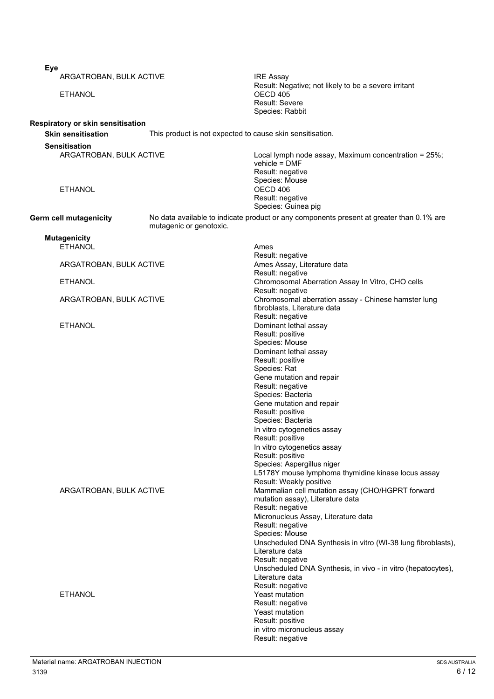| <b>Eye</b>                                                     |                                                           |                                                                                                             |
|----------------------------------------------------------------|-----------------------------------------------------------|-------------------------------------------------------------------------------------------------------------|
| ARGATROBAN, BULK ACTIVE                                        |                                                           | <b>IRE Assay</b>                                                                                            |
| <b>ETHANOL</b>                                                 |                                                           | Result: Negative; not likely to be a severe irritant<br>OECD 405<br>Result: Severe                          |
|                                                                |                                                           | Species: Rabbit                                                                                             |
| Respiratory or skin sensitisation<br><b>Skin sensitisation</b> | This product is not expected to cause skin sensitisation. |                                                                                                             |
| <b>Sensitisation</b>                                           |                                                           |                                                                                                             |
| ARGATROBAN, BULK ACTIVE                                        |                                                           | Local lymph node assay, Maximum concentration = 25%;<br>vehicle = DMF<br>Result: negative<br>Species: Mouse |
| <b>ETHANOL</b>                                                 |                                                           | OECD 406<br>Result: negative<br>Species: Guinea pig                                                         |
| Germ cell mutagenicity                                         | mutagenic or genotoxic.                                   | No data available to indicate product or any components present at greater than 0.1% are                    |
| <b>Mutagenicity</b>                                            |                                                           |                                                                                                             |
| <b>ETHANOL</b>                                                 |                                                           | Ames                                                                                                        |
| ARGATROBAN, BULK ACTIVE                                        |                                                           | Result: negative<br>Ames Assay, Literature data                                                             |
| <b>ETHANOL</b>                                                 |                                                           | Result: negative<br>Chromosomal Aberration Assay In Vitro, CHO cells                                        |
| ARGATROBAN, BULK ACTIVE                                        |                                                           | Result: negative<br>Chromosomal aberration assay - Chinese hamster lung                                     |
|                                                                |                                                           | fibroblasts, Literature data<br>Result: negative                                                            |
| <b>ETHANOL</b>                                                 |                                                           | Dominant lethal assay                                                                                       |
|                                                                |                                                           | Result: positive                                                                                            |
|                                                                |                                                           | Species: Mouse<br>Dominant lethal assay                                                                     |
|                                                                |                                                           | Result: positive                                                                                            |
|                                                                |                                                           | Species: Rat                                                                                                |
|                                                                |                                                           | Gene mutation and repair                                                                                    |
|                                                                |                                                           | Result: negative<br>Species: Bacteria                                                                       |
|                                                                |                                                           | Gene mutation and repair                                                                                    |
|                                                                |                                                           | Result: positive                                                                                            |
|                                                                |                                                           | Species: Bacteria                                                                                           |
|                                                                |                                                           | In vitro cytogenetics assay<br>Result: positive                                                             |
|                                                                |                                                           | In vitro cytogenetics assay<br>Result: positive                                                             |
|                                                                |                                                           | Species: Aspergillus niger                                                                                  |
|                                                                |                                                           | L5178Y mouse lymphoma thymidine kinase locus assay                                                          |
|                                                                |                                                           | Result: Weakly positive<br>Mammalian cell mutation assay (CHO/HGPRT forward                                 |
| ARGATROBAN, BULK ACTIVE                                        |                                                           | mutation assay), Literature data<br>Result: negative                                                        |
|                                                                |                                                           | Micronucleus Assay, Literature data                                                                         |
|                                                                |                                                           | Result: negative                                                                                            |
|                                                                |                                                           | Species: Mouse<br>Unscheduled DNA Synthesis in vitro (WI-38 lung fibroblasts),                              |
|                                                                |                                                           | Literature data<br>Result: negative                                                                         |
|                                                                |                                                           | Unscheduled DNA Synthesis, in vivo - in vitro (hepatocytes),                                                |
|                                                                |                                                           | Literature data                                                                                             |
| <b>ETHANOL</b>                                                 |                                                           | Result: negative<br>Yeast mutation                                                                          |
|                                                                |                                                           | Result: negative                                                                                            |
|                                                                |                                                           | <b>Yeast mutation</b>                                                                                       |
|                                                                |                                                           | Result: positive                                                                                            |
|                                                                |                                                           | in vitro micronucleus assay<br>Result: negative                                                             |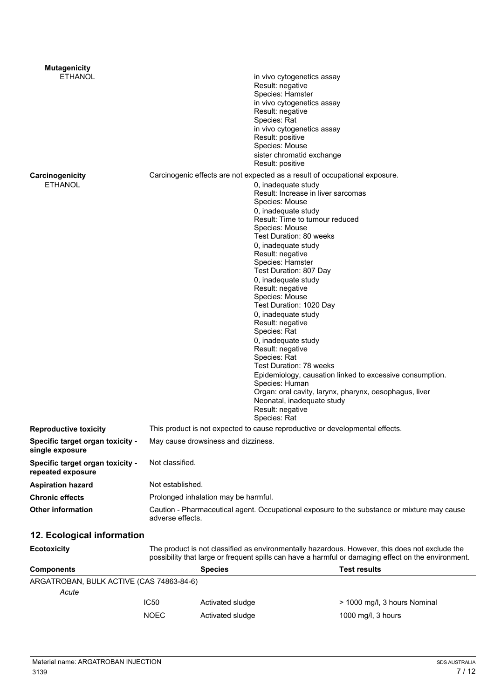| <b>Mutagenicity</b>                                   |                  |                                                                                                                                                                                                                                                                                                                                                                                                                  |                                                                                                                                                                                                                                                                                                           |  |
|-------------------------------------------------------|------------------|------------------------------------------------------------------------------------------------------------------------------------------------------------------------------------------------------------------------------------------------------------------------------------------------------------------------------------------------------------------------------------------------------------------|-----------------------------------------------------------------------------------------------------------------------------------------------------------------------------------------------------------------------------------------------------------------------------------------------------------|--|
| <b>ETHANOL</b>                                        |                  | Result: negative<br>Species: Hamster<br>Result: negative<br>Species: Rat<br>Result: positive<br>Species: Mouse<br>Result: positive                                                                                                                                                                                                                                                                               | in vivo cytogenetics assay<br>in vivo cytogenetics assay<br>in vivo cytogenetics assay<br>sister chromatid exchange                                                                                                                                                                                       |  |
| Carcinogenicity                                       |                  | Carcinogenic effects are not expected as a result of occupational exposure.                                                                                                                                                                                                                                                                                                                                      |                                                                                                                                                                                                                                                                                                           |  |
| <b>ETHANOL</b>                                        |                  | 0, inadequate study<br>Species: Mouse<br>0, inadequate study<br>Species: Mouse<br>0, inadequate study<br>Result: negative<br>Species: Hamster<br>Test Duration: 807 Day<br>0, inadequate study<br>Result: negative<br>Species: Mouse<br>0, inadequate study<br>Result: negative<br>Species: Rat<br>0, inadequate study<br>Result: negative<br>Species: Rat<br>Species: Human<br>Result: negative<br>Species: Rat | Result: Increase in liver sarcomas<br>Result: Time to tumour reduced<br>Test Duration: 80 weeks<br>Test Duration: 1020 Day<br>Test Duration: 78 weeks<br>Epidemiology, causation linked to excessive consumption.<br>Organ: oral cavity, larynx, pharynx, oesophagus, liver<br>Neonatal, inadequate study |  |
| <b>Reproductive toxicity</b>                          |                  | This product is not expected to cause reproductive or developmental effects.                                                                                                                                                                                                                                                                                                                                     |                                                                                                                                                                                                                                                                                                           |  |
| Specific target organ toxicity -<br>single exposure   |                  | May cause drowsiness and dizziness.                                                                                                                                                                                                                                                                                                                                                                              |                                                                                                                                                                                                                                                                                                           |  |
| Specific target organ toxicity -<br>repeated exposure |                  | Not classified.                                                                                                                                                                                                                                                                                                                                                                                                  |                                                                                                                                                                                                                                                                                                           |  |
| <b>Aspiration hazard</b>                              | Not established. |                                                                                                                                                                                                                                                                                                                                                                                                                  |                                                                                                                                                                                                                                                                                                           |  |
| <b>Chronic effects</b>                                |                  | Prolonged inhalation may be harmful.                                                                                                                                                                                                                                                                                                                                                                             |                                                                                                                                                                                                                                                                                                           |  |
| <b>Other information</b>                              |                  | Caution - Pharmaceutical agent. Occupational exposure to the substance or mixture may cause<br>adverse effects.                                                                                                                                                                                                                                                                                                  |                                                                                                                                                                                                                                                                                                           |  |
| 12. Ecological information                            |                  |                                                                                                                                                                                                                                                                                                                                                                                                                  |                                                                                                                                                                                                                                                                                                           |  |
| <b>Ecotoxicity</b>                                    |                  |                                                                                                                                                                                                                                                                                                                                                                                                                  | The product is not classified as environmentally hazardous. However, this does not exclude the<br>possibility that large or frequent spills can have a harmful or damaging effect on the environment.                                                                                                     |  |
| <b>Components</b>                                     |                  | <b>Species</b>                                                                                                                                                                                                                                                                                                                                                                                                   | <b>Test results</b>                                                                                                                                                                                                                                                                                       |  |
| ARGATROBAN, BULK ACTIVE (CAS 74863-84-6)              |                  |                                                                                                                                                                                                                                                                                                                                                                                                                  |                                                                                                                                                                                                                                                                                                           |  |
| Acute                                                 |                  |                                                                                                                                                                                                                                                                                                                                                                                                                  |                                                                                                                                                                                                                                                                                                           |  |
|                                                       | <b>IC50</b>      | Activated sludge                                                                                                                                                                                                                                                                                                                                                                                                 | > 1000 mg/l, 3 hours Nominal                                                                                                                                                                                                                                                                              |  |
|                                                       | <b>NOEC</b>      | Activated sludge                                                                                                                                                                                                                                                                                                                                                                                                 | 1000 mg/l, 3 hours                                                                                                                                                                                                                                                                                        |  |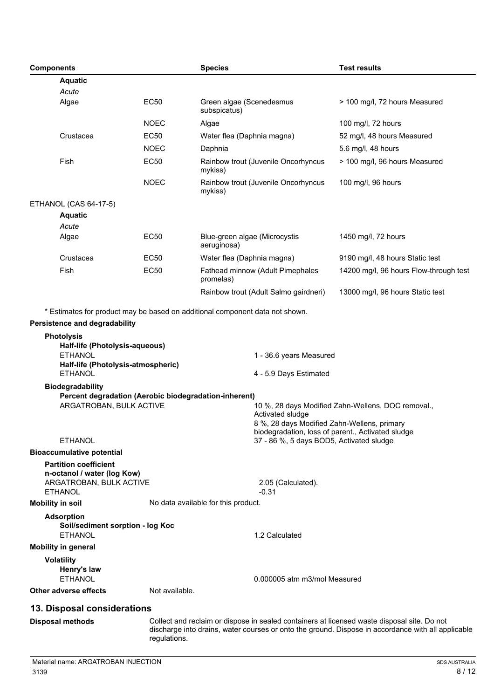| <b>Components</b>                                                                                                                                                                                                                                                             |                | <b>Species</b>                                                                              | <b>Test results</b>                                                                                |  |
|-------------------------------------------------------------------------------------------------------------------------------------------------------------------------------------------------------------------------------------------------------------------------------|----------------|---------------------------------------------------------------------------------------------|----------------------------------------------------------------------------------------------------|--|
| <b>Aquatic</b>                                                                                                                                                                                                                                                                |                |                                                                                             |                                                                                                    |  |
| Acute                                                                                                                                                                                                                                                                         |                |                                                                                             |                                                                                                    |  |
| Algae                                                                                                                                                                                                                                                                         | <b>EC50</b>    | Green algae (Scenedesmus<br>subspicatus)                                                    | > 100 mg/l, 72 hours Measured                                                                      |  |
|                                                                                                                                                                                                                                                                               | <b>NOEC</b>    | Algae                                                                                       | 100 mg/l, 72 hours                                                                                 |  |
| Crustacea                                                                                                                                                                                                                                                                     | <b>EC50</b>    | Water flea (Daphnia magna)                                                                  | 52 mg/l, 48 hours Measured                                                                         |  |
|                                                                                                                                                                                                                                                                               | <b>NOEC</b>    | Daphnia                                                                                     | 5.6 mg/l, 48 hours                                                                                 |  |
| Fish                                                                                                                                                                                                                                                                          | <b>EC50</b>    | Rainbow trout (Juvenile Oncorhyncus<br>mykiss)                                              | > 100 mg/l, 96 hours Measured                                                                      |  |
|                                                                                                                                                                                                                                                                               | <b>NOEC</b>    | Rainbow trout (Juvenile Oncorhyncus<br>mykiss)                                              | 100 mg/l, 96 hours                                                                                 |  |
| ETHANOL (CAS 64-17-5)                                                                                                                                                                                                                                                         |                |                                                                                             |                                                                                                    |  |
| <b>Aquatic</b>                                                                                                                                                                                                                                                                |                |                                                                                             |                                                                                                    |  |
| Acute                                                                                                                                                                                                                                                                         |                |                                                                                             |                                                                                                    |  |
| Algae                                                                                                                                                                                                                                                                         | EC50           | Blue-green algae (Microcystis<br>aeruginosa)                                                | 1450 mg/l, 72 hours                                                                                |  |
| Crustacea                                                                                                                                                                                                                                                                     | <b>EC50</b>    | Water flea (Daphnia magna)                                                                  | 9190 mg/l, 48 hours Static test                                                                    |  |
| Fish                                                                                                                                                                                                                                                                          | <b>EC50</b>    | Fathead minnow (Adult Pimephales<br>promelas)                                               | 14200 mg/l, 96 hours Flow-through test                                                             |  |
|                                                                                                                                                                                                                                                                               |                | Rainbow trout (Adult Salmo gairdneri)                                                       | 13000 mg/l, 96 hours Static test                                                                   |  |
| Persistence and degradability<br><b>Photolysis</b><br>Half-life (Photolysis-aqueous)<br><b>ETHANOL</b><br>Half-life (Photolysis-atmospheric)<br><b>ETHANOL</b><br><b>Biodegradability</b><br>Percent degradation (Aerobic biodegradation-inherent)<br>ARGATROBAN, BULK ACTIVE |                | 4 - 5.9 Days Estimated                                                                      | 1 - 36.6 years Measured<br>10 %, 28 days Modified Zahn-Wellens, DOC removal.,<br>Activated sludge  |  |
|                                                                                                                                                                                                                                                                               |                | 8 %, 28 days Modified Zahn-Wellens, primary                                                 |                                                                                                    |  |
|                                                                                                                                                                                                                                                                               |                |                                                                                             | biodegradation, loss of parent., Activated sludge                                                  |  |
| <b>ETHANOL</b>                                                                                                                                                                                                                                                                |                | 37 - 86 %, 5 days BOD5, Activated sludge                                                    |                                                                                                    |  |
| <b>Bioaccumulative potential</b><br><b>Partition coefficient</b><br>n-octanol / water (log Kow)<br>ARGATROBAN, BULK ACTIVE<br><b>ETHANOL</b>                                                                                                                                  |                | 2.05 (Calculated).<br>$-0.31$                                                               |                                                                                                    |  |
| <b>Mobility in soil</b>                                                                                                                                                                                                                                                       |                | No data available for this product.                                                         |                                                                                                    |  |
| <b>Adsorption</b><br>Soil/sediment sorption - log Koc<br><b>ETHANOL</b>                                                                                                                                                                                                       |                | 1.2 Calculated                                                                              |                                                                                                    |  |
| <b>Mobility in general</b>                                                                                                                                                                                                                                                    |                |                                                                                             |                                                                                                    |  |
| <b>Volatility</b><br>Henry's law<br><b>ETHANOL</b>                                                                                                                                                                                                                            |                | 0.000005 atm m3/mol Measured                                                                |                                                                                                    |  |
| Other adverse effects                                                                                                                                                                                                                                                         | Not available. |                                                                                             |                                                                                                    |  |
| 13. Disposal considerations                                                                                                                                                                                                                                                   |                |                                                                                             |                                                                                                    |  |
| <b>Disposal methods</b>                                                                                                                                                                                                                                                       | regulations.   | Collect and reclaim or dispose in sealed containers at licensed waste disposal site. Do not | discharge into drains, water courses or onto the ground. Dispose in accordance with all applicable |  |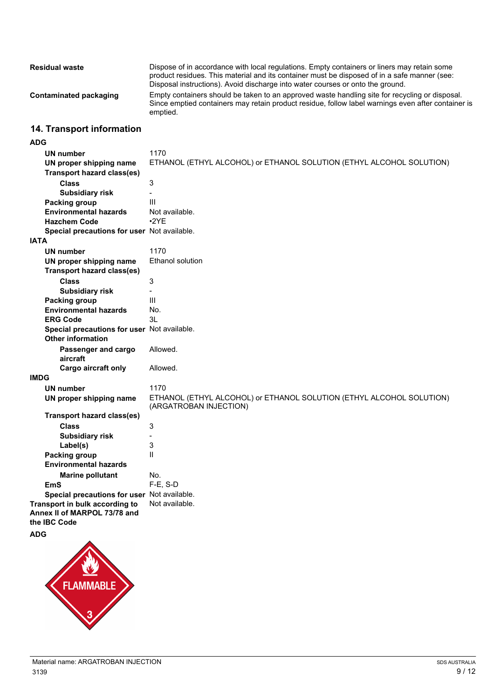| <b>Residual waste</b>  | Dispose of in accordance with local regulations. Empty containers or liners may retain some<br>product residues. This material and its container must be disposed of in a safe manner (see:<br>Disposal instructions). Avoid discharge into water courses or onto the ground. |
|------------------------|-------------------------------------------------------------------------------------------------------------------------------------------------------------------------------------------------------------------------------------------------------------------------------|
| Contaminated packaging | Empty containers should be taken to an approved waste handling site for recycling or disposal.<br>Since emptied containers may retain product residue, follow label warnings even after container is<br>emptied.                                                              |

## **14. Transport information**

### **ADG**

|             | <b>UN number</b>                            | 1170                                                                                           |
|-------------|---------------------------------------------|------------------------------------------------------------------------------------------------|
|             | UN proper shipping name                     | ETHANOL (ETHYL ALCOHOL) or ETHANOL SOLUTION (ETHYL ALCOHOL SOLUTION)                           |
|             | <b>Transport hazard class(es)</b>           |                                                                                                |
|             | <b>Class</b>                                | 3                                                                                              |
|             | <b>Subsidiary risk</b>                      | $\blacksquare$                                                                                 |
|             | <b>Packing group</b>                        | III                                                                                            |
|             | <b>Environmental hazards</b>                | Not available.                                                                                 |
|             | <b>Hazchem Code</b>                         | •2YE                                                                                           |
|             | Special precautions for user Not available. |                                                                                                |
| <b>IATA</b> |                                             |                                                                                                |
|             |                                             | 1170                                                                                           |
|             | <b>UN number</b>                            |                                                                                                |
|             | UN proper shipping name                     | Ethanol solution                                                                               |
|             | <b>Transport hazard class(es)</b>           |                                                                                                |
|             | <b>Class</b>                                | 3                                                                                              |
|             | <b>Subsidiary risk</b>                      | $\overline{a}$                                                                                 |
|             | Packing group                               | III                                                                                            |
|             | <b>Environmental hazards</b>                | No.                                                                                            |
|             | <b>ERG Code</b>                             | 3L                                                                                             |
|             | Special precautions for user Not available. |                                                                                                |
|             | <b>Other information</b>                    |                                                                                                |
|             | Passenger and cargo                         | Allowed.                                                                                       |
|             | aircraft                                    |                                                                                                |
|             | Cargo aircraft only                         | Allowed.                                                                                       |
| <b>IMDG</b> |                                             |                                                                                                |
|             | <b>UN number</b>                            | 1170                                                                                           |
|             | UN proper shipping name                     | ETHANOL (ETHYL ALCOHOL) or ETHANOL SOLUTION (ETHYL ALCOHOL SOLUTION)<br>(ARGATROBAN INJECTION) |
|             | <b>Transport hazard class(es)</b>           |                                                                                                |
|             | <b>Class</b>                                | 3                                                                                              |
|             | <b>Subsidiary risk</b>                      |                                                                                                |
|             | Label(s)                                    | 3                                                                                              |
|             | <b>Packing group</b>                        | Ш                                                                                              |
|             | <b>Environmental hazards</b>                |                                                                                                |
|             | <b>Marine pollutant</b>                     | No.                                                                                            |
|             | <b>EmS</b>                                  | $F-E$ , S-D                                                                                    |
|             | Special precautions for user Not available. |                                                                                                |
|             | Transport in bulk according to              | Not available.                                                                                 |
|             | Annex II of MARPOL 73/78 and                |                                                                                                |
|             | the IBC Code                                |                                                                                                |
| <b>ADG</b>  |                                             |                                                                                                |
|             | FLAMMABLE                                   |                                                                                                |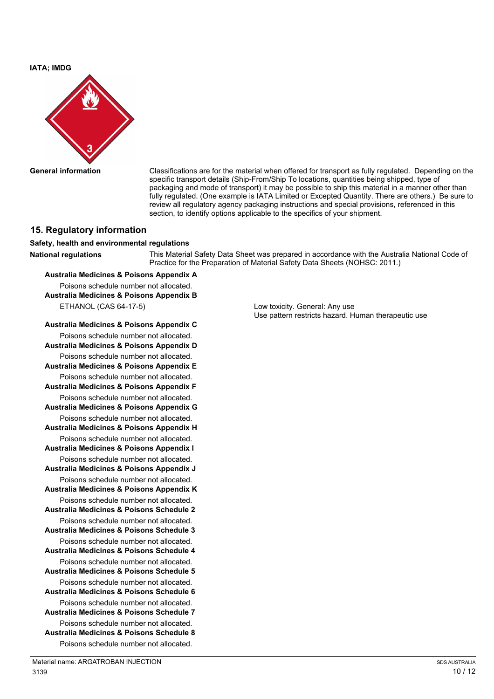**IATA; IMDG**



**General information** Classifications are for the material when offered for transport as fully regulated. Depending on the specific transport details (Ship-From/Ship To locations, quantities being shipped, type of packaging and mode of transport) it may be possible to ship this material in a manner other than fully regulated. (One example is IATA Limited or Excepted Quantity. There are others.) Be sure to review all regulatory agency packaging instructions and special provisions, referenced in this section, to identify options applicable to the specifics of your shipment.

### **15. Regulatory information**

### **Safety, health and environmental regulations**

**National regulations** This Material Safety Data Sheet was prepared in accordance with the Australia National Code of Practice for the Preparation of Material Safety Data Sheets (NOHSC: 2011.)

### **Australia Medicines & Poisons Appendix A**

Poisons schedule number not allocated. **Australia Medicines & Poisons Appendix B** ETHANOL (CAS 64-17-5) Low toxicity. General: Any use

**Australia Medicines & Poisons Appendix C** Poisons schedule number not allocated. **Australia Medicines & Poisons Appendix D** Poisons schedule number not allocated. **Australia Medicines & Poisons Appendix E** Poisons schedule number not allocated. **Australia Medicines & Poisons Appendix F** Poisons schedule number not allocated. **Australia Medicines & Poisons Appendix G** Poisons schedule number not allocated. **Australia Medicines & Poisons Appendix H** Poisons schedule number not allocated. **Australia Medicines & Poisons Appendix I** Poisons schedule number not allocated. **Australia Medicines & Poisons Appendix J** Poisons schedule number not allocated. **Australia Medicines & Poisons Appendix K** Poisons schedule number not allocated. **Australia Medicines & Poisons Schedule 2** Poisons schedule number not allocated. **Australia Medicines & Poisons Schedule 3** Poisons schedule number not allocated. **Australia Medicines & Poisons Schedule 4** Poisons schedule number not allocated. **Australia Medicines & Poisons Schedule 5** Poisons schedule number not allocated. **Australia Medicines & Poisons Schedule 6** Poisons schedule number not allocated. **Australia Medicines & Poisons Schedule 7** Poisons schedule number not allocated. **Australia Medicines & Poisons Schedule 8** Poisons schedule number not allocated.

Use pattern restricts hazard. Human therapeutic use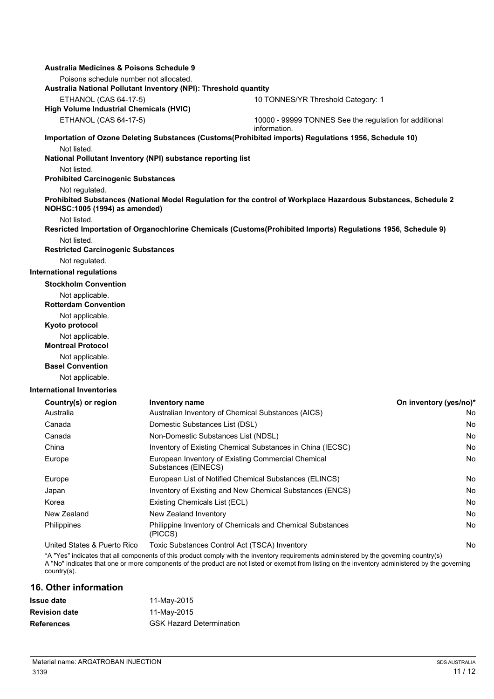| Australia Medicines & Poisons Schedule 9                                   |                                     |                                                                                                                                                                                                                                                                                            |                        |
|----------------------------------------------------------------------------|-------------------------------------|--------------------------------------------------------------------------------------------------------------------------------------------------------------------------------------------------------------------------------------------------------------------------------------------|------------------------|
| Poisons schedule number not allocated.                                     |                                     |                                                                                                                                                                                                                                                                                            |                        |
| Australia National Pollutant Inventory (NPI): Threshold quantity           |                                     |                                                                                                                                                                                                                                                                                            |                        |
| <b>ETHANOL (CAS 64-17-5)</b>                                               |                                     | 10 TONNES/YR Threshold Category: 1                                                                                                                                                                                                                                                         |                        |
| <b>High Volume Industrial Chemicals (HVIC)</b>                             |                                     |                                                                                                                                                                                                                                                                                            |                        |
| <b>ETHANOL (CAS 64-17-5)</b>                                               |                                     | 10000 - 99999 TONNES See the regulation for additional<br>information.                                                                                                                                                                                                                     |                        |
|                                                                            |                                     | Importation of Ozone Deleting Substances (Customs(Prohibited imports) Regulations 1956, Schedule 10)                                                                                                                                                                                       |                        |
| Not listed.                                                                |                                     |                                                                                                                                                                                                                                                                                            |                        |
| National Pollutant Inventory (NPI) substance reporting list<br>Not listed. |                                     |                                                                                                                                                                                                                                                                                            |                        |
| <b>Prohibited Carcinogenic Substances</b>                                  |                                     |                                                                                                                                                                                                                                                                                            |                        |
| Not regulated.                                                             |                                     |                                                                                                                                                                                                                                                                                            |                        |
| NOHSC: 1005 (1994) as amended)                                             |                                     | Prohibited Substances (National Model Regulation for the control of Workplace Hazardous Substances, Schedule 2                                                                                                                                                                             |                        |
| Not listed.                                                                |                                     |                                                                                                                                                                                                                                                                                            |                        |
|                                                                            |                                     | Resricted Importation of Organochlorine Chemicals (Customs(Prohibited Imports) Regulations 1956, Schedule 9)                                                                                                                                                                               |                        |
| Not listed.                                                                |                                     |                                                                                                                                                                                                                                                                                            |                        |
| <b>Restricted Carcinogenic Substances</b>                                  |                                     |                                                                                                                                                                                                                                                                                            |                        |
| Not regulated.                                                             |                                     |                                                                                                                                                                                                                                                                                            |                        |
| <b>International regulations</b>                                           |                                     |                                                                                                                                                                                                                                                                                            |                        |
| <b>Stockholm Convention</b>                                                |                                     |                                                                                                                                                                                                                                                                                            |                        |
| Not applicable.<br><b>Rotterdam Convention</b>                             |                                     |                                                                                                                                                                                                                                                                                            |                        |
| Not applicable.                                                            |                                     |                                                                                                                                                                                                                                                                                            |                        |
| Kyoto protocol                                                             |                                     |                                                                                                                                                                                                                                                                                            |                        |
| Not applicable.                                                            |                                     |                                                                                                                                                                                                                                                                                            |                        |
| <b>Montreal Protocol</b>                                                   |                                     |                                                                                                                                                                                                                                                                                            |                        |
| Not applicable.                                                            |                                     |                                                                                                                                                                                                                                                                                            |                        |
| <b>Basel Convention</b>                                                    |                                     |                                                                                                                                                                                                                                                                                            |                        |
| Not applicable.                                                            |                                     |                                                                                                                                                                                                                                                                                            |                        |
| <b>International Inventories</b>                                           |                                     |                                                                                                                                                                                                                                                                                            |                        |
| Country(s) or region                                                       | Inventory name                      |                                                                                                                                                                                                                                                                                            | On inventory (yes/no)* |
| Australia                                                                  |                                     | Australian Inventory of Chemical Substances (AICS)                                                                                                                                                                                                                                         | No                     |
| Canada                                                                     | Domestic Substances List (DSL)      |                                                                                                                                                                                                                                                                                            | No                     |
| Canada                                                                     | Non-Domestic Substances List (NDSL) |                                                                                                                                                                                                                                                                                            | No                     |
| China                                                                      |                                     | Inventory of Existing Chemical Substances in China (IECSC)                                                                                                                                                                                                                                 | No                     |
| Europe                                                                     | Substances (EINECS)                 | European Inventory of Existing Commercial Chemical                                                                                                                                                                                                                                         | No                     |
| Europe                                                                     |                                     | European List of Notified Chemical Substances (ELINCS)                                                                                                                                                                                                                                     | No                     |
| Japan                                                                      |                                     | Inventory of Existing and New Chemical Substances (ENCS)                                                                                                                                                                                                                                   | No                     |
| Korea                                                                      | Existing Chemicals List (ECL)       |                                                                                                                                                                                                                                                                                            | No                     |
| New Zealand                                                                | New Zealand Inventory               |                                                                                                                                                                                                                                                                                            | No                     |
| <b>Philippines</b>                                                         | (PICCS)                             | Philippine Inventory of Chemicals and Chemical Substances                                                                                                                                                                                                                                  | No                     |
| United States & Puerto Rico                                                |                                     | Toxic Substances Control Act (TSCA) Inventory                                                                                                                                                                                                                                              | No                     |
| $country(s)$ .                                                             |                                     | *A "Yes" indicates that all components of this product comply with the inventory requirements administered by the governing country(s)<br>A "No" indicates that one or more components of the product are not listed or exempt from listing on the inventory administered by the governing |                        |

**16. Other information**

| 11-May-2015                     |
|---------------------------------|
| 11-May-2015                     |
| <b>GSK Hazard Determination</b> |
|                                 |